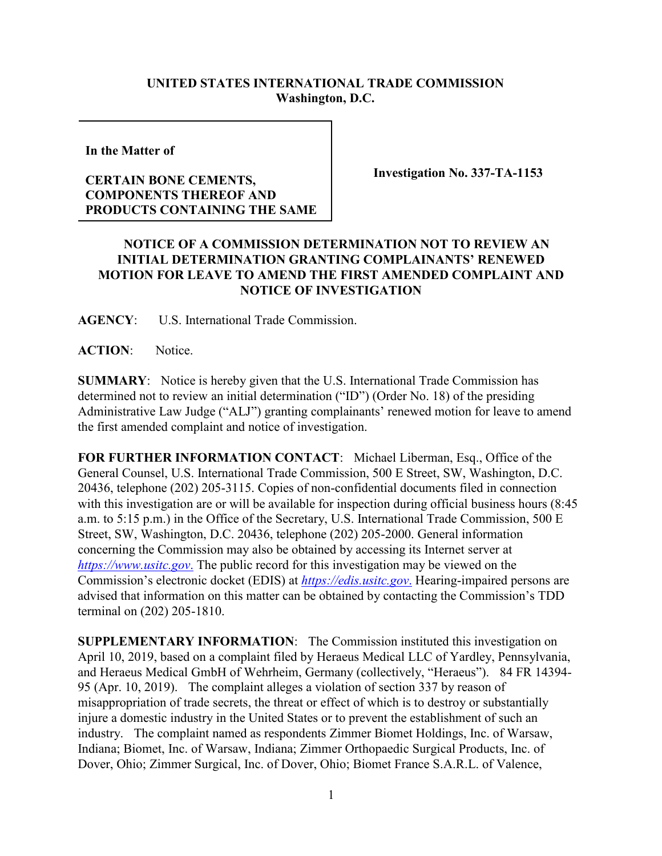## **UNITED STATES INTERNATIONAL TRADE COMMISSION Washington, D.C.**

**In the Matter of** 

## **CERTAIN BONE CEMENTS, COMPONENTS THEREOF AND PRODUCTS CONTAINING THE SAME**

**Investigation No. 337-TA-1153**

## **NOTICE OF A COMMISSION DETERMINATION NOT TO REVIEW AN INITIAL DETERMINATION GRANTING COMPLAINANTS' RENEWED MOTION FOR LEAVE TO AMEND THE FIRST AMENDED COMPLAINT AND NOTICE OF INVESTIGATION**

**AGENCY**: U.S. International Trade Commission.

**ACTION**: Notice.

**SUMMARY**: Notice is hereby given that the U.S. International Trade Commission has determined not to review an initial determination ("ID") (Order No. 18) of the presiding Administrative Law Judge ("ALJ") granting complainants' renewed motion for leave to amend the first amended complaint and notice of investigation.

**FOR FURTHER INFORMATION CONTACT**: Michael Liberman, Esq., Office of the General Counsel, U.S. International Trade Commission, 500 E Street, SW, Washington, D.C. 20436, telephone (202) 205-3115. Copies of non-confidential documents filed in connection with this investigation are or will be available for inspection during official business hours (8:45 a.m. to 5:15 p.m.) in the Office of the Secretary, U.S. International Trade Commission, 500 E Street, SW, Washington, D.C. 20436, telephone (202) 205-2000. General information concerning the Commission may also be obtained by accessing its Internet server at *[https://www.usitc.gov](https://www.usitc.gov./)*. The public record for this investigation may be viewed on the Commission's electronic docket (EDIS) at *[https://edis.usitc.gov](https://edis.usitc.gov./)*. Hearing-impaired persons are advised that information on this matter can be obtained by contacting the Commission's TDD terminal on (202) 205-1810.

**SUPPLEMENTARY INFORMATION**: The Commission instituted this investigation on April 10, 2019, based on a complaint filed by Heraeus Medical LLC of Yardley, Pennsylvania, and Heraeus Medical GmbH of Wehrheim, Germany (collectively, "Heraeus"). 84 FR 14394- 95 (Apr. 10, 2019). The complaint alleges a violation of section 337 by reason of misappropriation of trade secrets, the threat or effect of which is to destroy or substantially injure a domestic industry in the United States or to prevent the establishment of such an industry. The complaint named as respondents Zimmer Biomet Holdings, Inc. of Warsaw, Indiana; Biomet, Inc. of Warsaw, Indiana; Zimmer Orthopaedic Surgical Products, Inc. of Dover, Ohio; Zimmer Surgical, Inc. of Dover, Ohio; Biomet France S.A.R.L. of Valence,